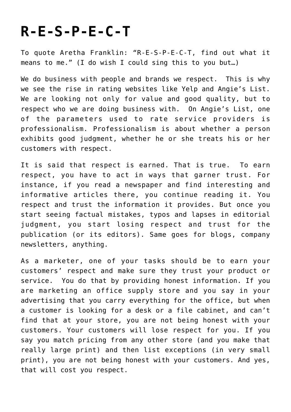## **[R-E-S-P-E-C-T](https://deborahbrody.com/2011/01/r-e-s-p-e-c-t/)**

To quote Aretha Franklin: "R-E-S-P-E-C-T, find out what it means to me." (I do wish I could sing this to you but…)

We do business with people and brands we respect. This is why we see the rise in rating websites like Yelp and Angie's List. We are looking not only for value and good quality, but to respect who we are doing business with. On Angie's List, one of the parameters used to rate service providers is professionalism. Professionalism is about whether a person exhibits good judgment, whether he or she treats his or her customers with respect.

It is said that respect is earned. That is true. To earn respect, you have to act in ways that garner trust. For instance, if you read a newspaper and find interesting and informative articles there, you continue reading it. You respect and trust the information it provides. But once you start seeing factual mistakes, typos and lapses in editorial judgment, you start losing respect and trust for the publication (or its editors). Same goes for blogs, company newsletters, anything.

As a marketer, one of your tasks should be to earn your customers' respect and make sure they trust your product or service. You do that by providing honest information. If you are marketing an office supply store and you say in your advertising that you carry everything for the office, but when a customer is looking for a desk or a file cabinet, and can't find that at your store, you are not being honest with your customers. Your customers will lose respect for you. If you say you match pricing from any other store (and you make that really large print) and then list exceptions (in very small print), you are not being honest with your customers. And yes, that will cost you respect.